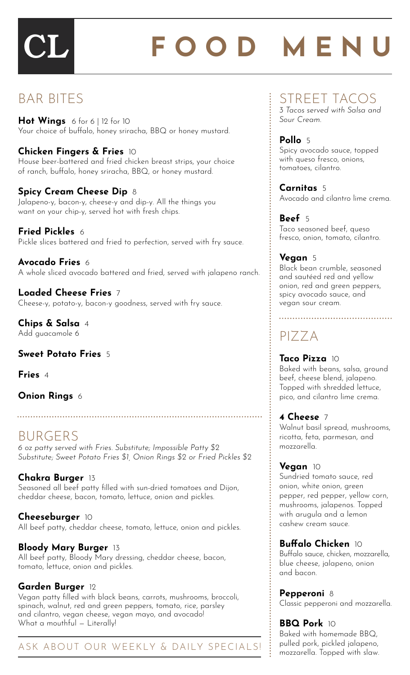# FOOD MENU

## BAR BITES

**Hot Wings** 6 for 6 | 12 for 10 Your choice of buffalo, honey sriracha, BBQ or honey mustard.

#### **Chicken Fingers & Fries** 10

House beer-battered and fried chicken breast strips, your choice of ranch, buffalo, honey sriracha, BBQ, or honey mustard.

#### **Spicy Cream Cheese Dip** 8

Jalapeno-y, bacon-y, cheese-y and dip-y. All the things you want on your chip-y, served hot with fresh chips.

#### **Fried Pickles** 6 Pickle slices battered and fried to perfection, served with fry sauce.

**Avocado Fries** 6 A whole sliced avocado battered and fried, served with jalapeno ranch.

**Loaded Cheese Fries** 7 Cheese-y, potato-y, bacon-y goodness, served with fry sauce.

**Chips & Salsa** 4 Add guacamole 6

#### **Sweet Potato Fries** 5

**Fries** 4

#### **Onion Rings** 6

## BURGERS

*6 oz patty served with Fries. Substitute; Impossible Patty \$2 Substitute; Sweet Potato Fries \$1, Onion Rings \$2 or Fried Pickles \$2*

#### **Chakra Burger** 13

Seasoned all beef patty filled with sun-dried tomatoes and Dijon, cheddar cheese, bacon, tomato, lettuce, onion and pickles.

**Cheeseburger** 10 All beef patty, cheddar cheese, tomato, lettuce, onion and pickles.

#### **Bloody Mary Burger** 13

All beef patty, Bloody Mary dressing, cheddar cheese, bacon, tomato, lettuce, onion and pickles.

### **Garden Burger** 12

Vegan patty filled with black beans, carrots, mushrooms, broccoli, spinach, walnut, red and green peppers, tomato, rice, parsley and cilantro, vegan cheese, vegan mayo, and avocado! What a mouthful — Literally!

### ASK ABOUT OUR WEEKLY & DAILY SPECIALS!

# STREET TACOS

*3 Tacos served with Salsa and Sour Cream.*

**Pollo** 5 Spicy avocado sauce, topped with queso fresco, onions, tomatoes, cilantro.

**Carnitas** 5 Avocado and cilantro lime crema.

**Beef** 5 Taco seasoned beef, queso fresco, onion, tomato, cilantro.

#### **Vegan** 5

Black bean crumble, seasoned and sautéed red and yellow onion, red and green peppers, spicy avocado sauce, and vegan sour cream.

PIZZA

**Taco Pizza** 10 Baked with beans, salsa, ground beef, cheese blend, jalapeno. Topped with shredded lettuce, pico, and cilantro lime crema.

#### **4 Cheese** 7

Walnut basil spread, mushrooms, ricotta, feta, parmesan, and mozzarella.

**Vegan** 10

Sundried tomato sauce, red onion, white onion, green pepper, red pepper, yellow corn, mushrooms, jalapenos. Topped with arugula and a lemon cashew cream sauce.

#### **Buffalo Chicken** 10

Buffalo sauce, chicken, mozzarella, blue cheese, jalapeno, onion and bacon.

**Pepperoni** 8

Classic pepperoni and mozzarella.

# **BBQ Pork** 10

Baked with homemade BBQ, pulled pork, pickled jalapeno, mozzarella. Topped with slaw.